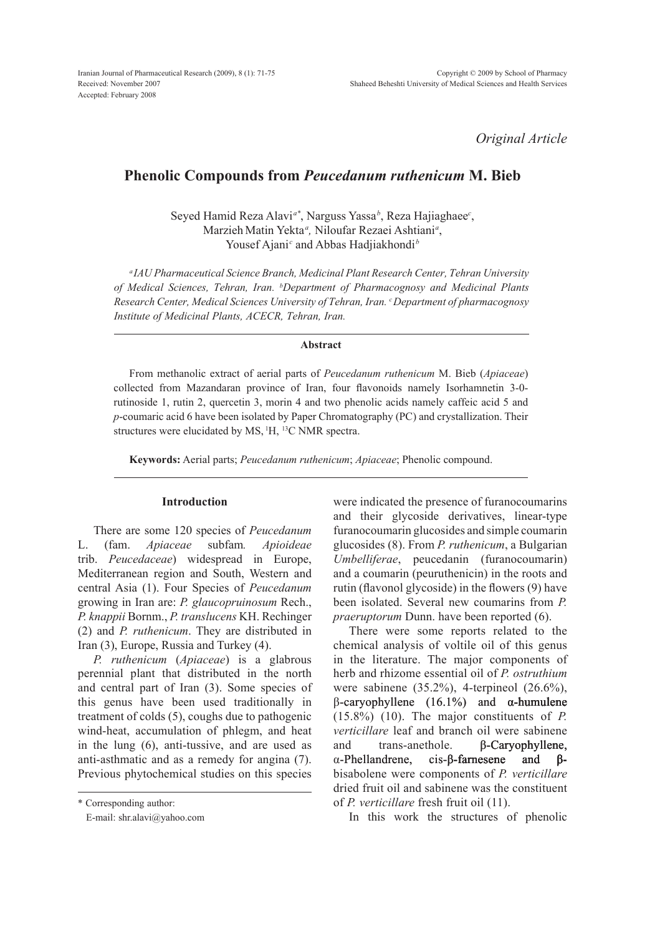*Original Article*

# **Phenolic compounds from** *Peucedanum ruthenicum* **M. Bieb**

Seyed Hamid Reza Alavi*a\**, Narguss Yassa*<sup>b</sup>* , Reza Hajiaghaee*<sup>c</sup>* , MarziehMatin Yekta *<sup>a</sup> ,* Niloufar Rezaei Ashtiani*<sup>a</sup>* , Yousef Ajani<sup>c</sup> and Abbas Hadjiakhondi<sup>b</sup>

*<sup>a</sup> IAU Pharmaceutical Science Branch, Medicinal Plant Research Center, Tehran University of Medical Sciences, Tehran, Iran. b Department of Pharmacognosy and Medicinal Plants Research Center, Medical Sciences University of Tehran, Iran. c Department of pharmacognosy Institute of Medicinal Plants, ACECR, Tehran, Iran.*

## **Abstract**

From methanolic extract of aerial parts of *Peucedanum ruthenicum* M. Bieb (*Apiaceae*) collected from Mazandaran province of Iran, four flavonoids namely Isorhamnetin 3-0 rutinoside 1, rutin 2, quercetin 3, morin 4 and two phenolic acids namely caffeic acid 5 and *p*-coumaric acid 6 have been isolated by Paper Chromatography (PC) and crystallization. Their structures were elucidated by MS, <sup>1</sup>H, <sup>13</sup>C NMR spectra.

**Keywords:** Aerial parts; *Peucedanum ruthenicum*; *Apiaceae*; Phenolic compound.

### **Introduction**

There are some 120 species of *Peucedanum* L. (fam. *Apiaceae* subfam*. Apioideae* trib. *Peucedaceae*) widespread in Europe, Mediterranean region and south, Western and central Asia (1). Four Species of *Peucedanum* growing in Iran are: *P. glaucopruinosum* Rech., *P. knappii* Bornm., *P. translucens* KH. Rechinger (2) and *P. ruthenicum*. They are distributed in Iran (3), Europe, Russia and Turkey (4).

*P. ruthenicum* (*Apiaceae*) is a glabrous perennial plant that distributed in the north and central part of Iran (3). Some species of this genus have been used traditionally in treatment of colds (5), coughs due to pathogenic wind-heat, accumulation of phlegm, and heat in the lung (6), anti-tussive, and are used as anti-asthmatic and as a remedy for angina (7). Previous phytochemical studies on this species were indicated the presence of furanocoumarins and their glycoside derivatives, linear-type furanocoumarin glucosides and simple coumarin glucosides (8). From *P. ruthenicum*, a Bulgarian *Umbelliferae*, peucedanin (furanocoumarin) and a coumarin (peuruthenicin) in the roots and rutin (flavonol glycoside) in the flowers (9) have been isolated. Several new coumarins from *P. praeruptorum* Dunn. have been reported (6).

There were some reports related to the chemical analysis of voltile oil of this genus in the literature. The major components of herb and rhizome essential oil of *P. ostruthium* were sabinene (35.2%), 4-terpineol (26.6%),  $β$ -caryophyllene (16.1%) and α-humulene (15.8%) (10). The major constituents of *P. verticillare* leaf and branch oil were sabinene and trans-anethole. β-Caryophyllene, α -Phellandrene, cis-β-farnesene and β bisabolene were components of *P. verticillare* dried fruit oil and sabinene was the constituent of *P. verticillare* fresh fruit oil (11).

In this work the structures of phenolic

<sup>\*</sup> Corresponding author:

E-mail: shr.alavi@yahoo.com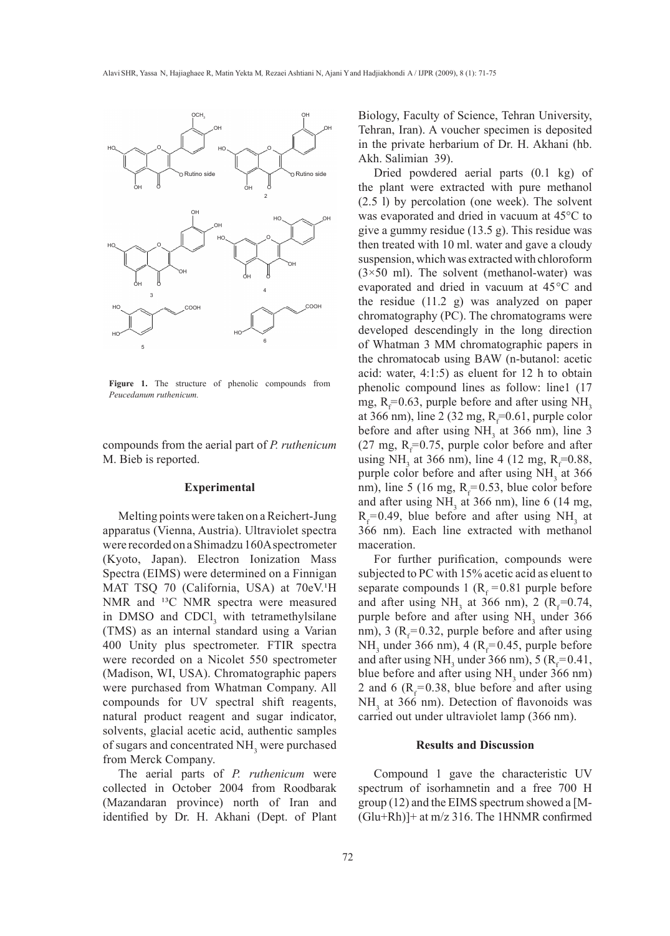

**Figure 1.** The structure of phenolic compounds from *Peucedanum ruthenicum.*

compounds from the aerial part of *P. ruthenicum*  M. Bieb is reported.

## **Experimental**

Melting points were taken on a Reichert-Jung apparatus (Vienna, Austria). Ultraviolet spectra were recorded on a Shimadzu 160A spectrometer (Kyoto, Japan). Electron Ionization Mass Spectra (EIMS) were determined on a Finnigan MAT TSQ 70 (California, USA) at 70eV.<sup>1</sup>H NMR and <sup>13</sup>C NMR spectra were measured in DMSO and  $CDCl<sub>3</sub>$  with tetramethylsilane (TMS) as an internal standard using a Varian 400 Unity plus spectrometer. FTIR spectra were recorded on a Nicolet 550 spectrometer (Madison, WI, USA). Chromatographic papers were purchased from Whatman Company. All compounds for UV spectral shift reagents, natural product reagent and sugar indicator, solvents, glacial acetic acid, authentic samples of sugars and concentrated  $NH<sub>3</sub>$  were purchased from Merck Company.

The aerial parts of *P. ruthenicum* were collected in October 2004 from Roodbarak (Mazandaran province) north of Iran and identified by Dr. H. Akhani (Dept. of Plant Biology, Faculty of Science, Tehran University, Tehran, Iran). A voucher specimen is deposited in the private herbarium of Dr. H. Akhani (hb. Akh. Salimian 39).

Dried powdered aerial parts (0.1 kg) of the plant were extracted with pure methanol (2.5 l) by percolation (one week). The solvent was evaporated and dried in vacuum at 45°C to give a gummy residue (13.5 g). This residue was then treated with 10 ml. water and gave a cloudy suspension, which was extracted with chloroform  $(3\times50 \text{ ml})$ . The solvent (methanol-water) was evaporated and dried in vacuum at 45°C and the residue (11.2 g) was analyzed on paper chromatography (PC). The chromatograms were developed descendingly in the long direction of Whatman 3 MM chromatographic papers in the chromatocab using BAW (n-butanol: acetic acid: water, 4:1:5) as eluent for 12 h to obtain phenolic compound lines as follow: line1 (17 mg,  $R_f = 0.63$ , purple before and after using NH<sub>3</sub> at 366 nm), line 2 (32 mg,  $R_f = 0.61$ , purple color before and after using  $NH<sub>3</sub>$  at 366 nm), line 3  $(27 \text{ mg}, \text{ R}_{\text{f}}=0.75, \text{ purple color before and after})$ using NH<sub>3</sub> at 366 nm), line 4 (12 mg, R<sub>f</sub>=0.88, purple color before and after using  $NH<sub>3</sub>$  at 366 nm), line 5 (16 mg,  $R_f = 0.53$ , blue color before and after using  $NH<sub>3</sub>$  at 366 nm), line 6 (14 mg,  $R_f = 0.49$ , blue before and after using NH<sub>3</sub> at 366 nm). Each line extracted with methanol maceration.

For further purification, compounds were subjected to PC with 15% acetic acid as eluent to separate compounds 1 ( $R_f$  = 0.81 purple before and after using NH<sub>3</sub> at 366 nm), 2 ( $R_f$ =0.74, purple before and after using  $NH<sub>3</sub>$  under 366 nm), 3 ( $R_f$ =0.32, purple before and after using  $NH<sub>3</sub>$  under 366 nm), 4 ( $R<sub>f</sub>=0.45$ , purple before and after using NH<sub>3</sub> under 366 nm), 5 ( $R_f$ =0.41, blue before and after using  $NH<sub>3</sub>$  under 366 nm) 2 and 6 ( $R_f$ =0.38, blue before and after using  $NH<sub>3</sub>$  at 366 nm). Detection of flavonoids was carried out under ultraviolet lamp (366 nm).

# **Results and Discussion**

Compound 1 gave the characteristic UV spectrum of isorhamnetin and a free 700 H group (12) and the EIMS spectrum showed a [M-  $(Glu+Rh)$  at m/z 316. The 1HNMR confirmed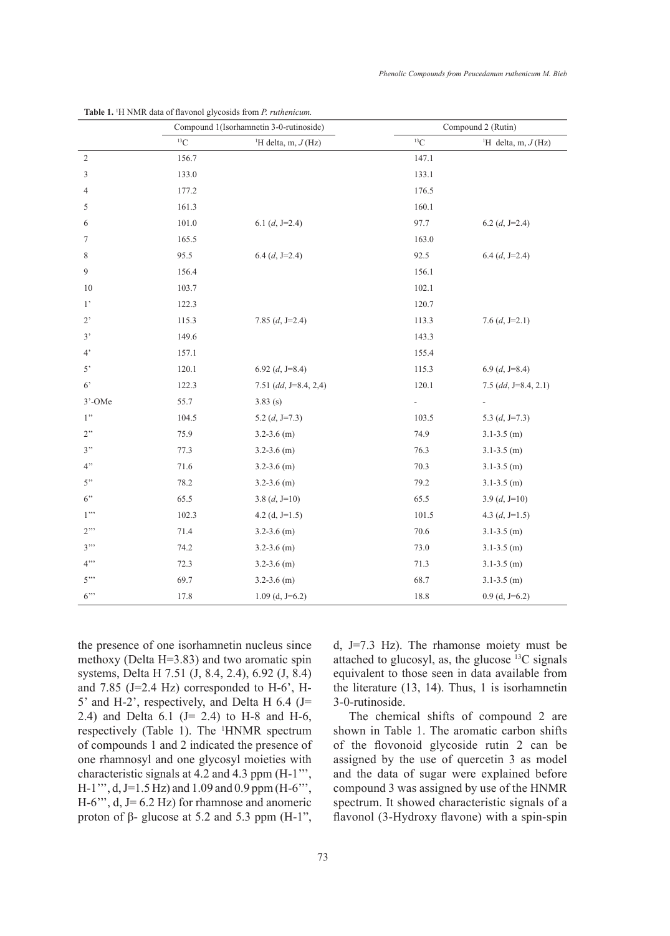|             | Compound 1(Isorhamnetin 3-0-rutinoside) |                                   | Compound 2 (Rutin) |                                 |
|-------------|-----------------------------------------|-----------------------------------|--------------------|---------------------------------|
|             | ${}^{13}C$                              | <sup>1</sup> H delta, m, $J$ (Hz) | ${}^{13}C$         | <sup>1</sup> H delta, m, J (Hz) |
| $\sqrt{2}$  | 156.7                                   |                                   | 147.1              |                                 |
| 3           | 133.0                                   |                                   | 133.1              |                                 |
| 4           | 177.2                                   |                                   | 176.5              |                                 |
| 5           | 161.3                                   |                                   | 160.1              |                                 |
| 6           | 101.0                                   | 6.1 $(d, J=2.4)$                  | 97.7               | 6.2 $(d, J=2.4)$                |
| 7           | 165.5                                   |                                   | 163.0              |                                 |
| 8           | 95.5                                    | $6.4$ (d, J=2.4)                  | 92.5               | $6.4$ (d, J=2.4)                |
| 9           | 156.4                                   |                                   | 156.1              |                                 |
| 10          | 103.7                                   |                                   | 102.1              |                                 |
| $1^{\circ}$ | 122.3                                   |                                   | 120.7              |                                 |
| $2^{\circ}$ | 115.3                                   | 7.85 $(d, J=2.4)$                 | 113.3              | 7.6 $(d, J=2.1)$                |
| 3'          | 149.6                                   |                                   | 143.3              |                                 |
| $4^{\circ}$ | 157.1                                   |                                   | 155.4              |                                 |
| $5^{\circ}$ | 120.1                                   | 6.92 $(d, J=8.4)$                 | 115.3              | $6.9$ (d, J=8.4)                |
| $6^{\circ}$ | 122.3                                   | 7.51 (dd, $J=8.4$ , 2,4)          | 120.1              | $7.5$ (dd, J=8.4, 2.1)          |
| 3'-OMe      | 55.7                                    | 3.83(s)                           | $\frac{1}{2}$      | $\overline{\phantom{a}}$        |
| 1"          | 104.5                                   | 5.2 $(d, J=7.3)$                  | 103.5              | 5.3 $(d, J=7.3)$                |
| 2"          | 75.9                                    | $3.2 - 3.6$ (m)                   | 74.9               | $3.1 - 3.5$ (m)                 |
| 3"          | 77.3                                    | $3.2 - 3.6$ (m)                   | 76.3               | $3.1 - 3.5$ (m)                 |
| 4"          | 71.6                                    | $3.2 - 3.6$ (m)                   | 70.3               | $3.1 - 3.5$ (m)                 |
| 5"          | 78.2                                    | $3.2 - 3.6$ (m)                   | 79.2               | $3.1 - 3.5$ (m)                 |
| 6"          | 65.5                                    | 3.8 $(d, J=10)$                   | 65.5               | 3.9 $(d, J=10)$                 |
| $1$ "       | 102.3                                   | 4.2 (d, $J=1.5$ )                 | 101.5              | 4.3 $(d, J=1.5)$                |
| $2$ .       | 71.4                                    | $3.2 - 3.6$ (m)                   | 70.6               | $3.1 - 3.5$ (m)                 |
| 3"          | 74.2                                    | $3.2 - 3.6$ (m)                   | 73.0               | $3.1 - 3.5$ (m)                 |
| 4"          | 72.3                                    | $3.2 - 3.6$ (m)                   | 71.3               | $3.1 - 3.5$ (m)                 |
| 5"          | 69.7                                    | $3.2 - 3.6$ (m)                   | 68.7               | $3.1 - 3.5$ (m)                 |
| $6$ "       | 17.8                                    | $1.09$ (d, J=6.2)                 | 18.8               | $0.9$ (d, J=6.2)                |

**Table 1.** <sup>1</sup> H NMR data of flavonol glycosids from *P. ruthenicum.*

the presence of one isorhamnetin nucleus since methoxy (Delta H=3.83) and two aromatic spin systems, Delta H 7.51 (J, 8.4, 2.4), 6.92 (J, 8.4) and 7.85 (J=2.4 Hz) corresponded to H-6', H-5' and H-2', respectively, and Delta H 6.4 (J= 2.4) and Delta  $6.1$  (J= 2.4) to H-8 and H-6, respectively (Table 1). The <sup>1</sup>HNMR spectrum of compounds 1 and 2 indicated the presence of one rhamnosyl and one glycosyl moieties with characteristic signals at 4.2 and 4.3 ppm (H-1''', H-1''', d, J=1.5 hz) and 1.09 and 0.9 ppm (H-6''',  $H-6$ <sup>"'</sup>, d,  $J=6.2$  Hz) for rhamnose and anomeric proton of β- glucose at 5.2 and 5.3 ppm  $(H-1)$ ",

d, J=7.3 Hz). The rhamonse moiety must be attached to glucosyl, as, the glucose  $^{13}$ C signals equivalent to those seen in data available from the literature (13, 14). Thus, 1 is isorhamnetin 3-0-rutinoside.

The chemical shifts of compound 2 are shown in Table 1. The aromatic carbon shifts of the flovonoid glycoside rutin 2 can be assigned by the use of quercetin 3 as model and the data of sugar were explained before compound 3 was assigned by use of the HNMR spectrum. It showed characteristic signals of a flavonol (3-Hydroxy flavone) with a spin-spin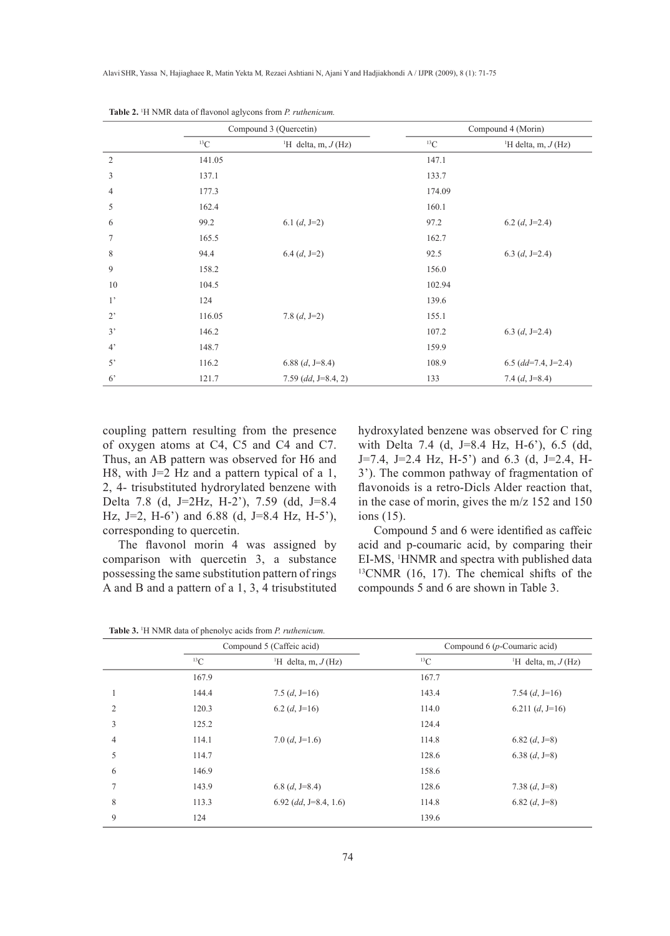|                | Compound 3 (Quercetin) |                                   | Compound 4 (Morin) |                                   |
|----------------|------------------------|-----------------------------------|--------------------|-----------------------------------|
|                | ${}^{13}C$             | <sup>1</sup> H delta, m, $J$ (Hz) | ${}^{13}C$         | <sup>1</sup> H delta, m, $J$ (Hz) |
| $\overline{2}$ | 141.05                 |                                   | 147.1              |                                   |
| 3              | 137.1                  |                                   | 133.7              |                                   |
| 4              | 177.3                  |                                   | 174.09             |                                   |
| 5              | 162.4                  |                                   | 160.1              |                                   |
| 6              | 99.2                   | 6.1 $(d, J=2)$                    | 97.2               | 6.2 $(d, J=2.4)$                  |
| 7              | 165.5                  |                                   | 162.7              |                                   |
| 8              | 94.4                   | $6.4 (d, J=2)$                    | 92.5               | 6.3 $(d, J=2.4)$                  |
| 9              | 158.2                  |                                   | 156.0              |                                   |
| 10             | 104.5                  |                                   | 102.94             |                                   |
| $1^{\circ}$    | 124                    |                                   | 139.6              |                                   |
| $2^{\circ}$    | 116.05                 | 7.8 $(d, J=2)$                    | 155.1              |                                   |
| 3'             | 146.2                  |                                   | 107.2              | 6.3 $(d, J=2.4)$                  |
| $4^{\circ}$    | 148.7                  |                                   | 159.9              |                                   |
| 5'             | 116.2                  | 6.88 $(d, J=8.4)$                 | 108.9              | $6.5$ (dd=7.4, J=2.4)             |
| 6 <sup>2</sup> | 121.7                  | 7.59 (dd, $J=8.4, 2$ )            | 133                | 7.4 $(d, J=8.4)$                  |

**Table 2.** <sup>1</sup> H NMR data of flavonol aglycons from *P. ruthenicum.*

coupling pattern resulting from the presence of oxygen atoms at C4, C5 and C4 and C7. Thus, an AB pattern was observed for H6 and H8, with J=2 Hz and a pattern typical of a 1, 2, 4- trisubstituted hydrorylated benzene with Delta 7.8 (d, J=2Hz, H-2'), 7.59 (dd, J=8.4 Hz, J=2, H-6') and 6.88 (d, J=8.4 Hz, H-5'), corresponding to quercetin.

The flavonol morin 4 was assigned by comparison with quercetin 3, a substance possessing the same substitution pattern of rings A and B and a pattern of a 1, 3, 4 trisubstituted hydroxylated benzene was observed for C ring with Delta 7.4 (d, J=8.4 Hz, H-6'), 6.5 (dd, J=7.4, J=2.4 Hz, H-5') and 6.3 (d, J=2.4, H-3'). The common pathway of fragmentation of flavonoids is a retro-Dicls Alder reaction that, in the case of morin, gives the m/z 152 and 150 ions (15).

Compound 5 and 6 were identified as caffeic acid and p-coumaric acid, by comparing their EI-MS, <sup>1</sup>HNMR and spectra with published data  $^{13}$ CNMR (16, 17). The chemical shifts of the compounds 5 and 6 are shown in Table 3.

|                |            | Compound 5 (Caffeic acid)         |            | Compound $6(p$ -Coumaric acid)    |  |
|----------------|------------|-----------------------------------|------------|-----------------------------------|--|
|                | ${}^{13}C$ | <sup>1</sup> H delta, m, $J$ (Hz) | ${}^{13}C$ | <sup>1</sup> H delta, m, $J$ (Hz) |  |
|                | 167.9      |                                   | 167.7      |                                   |  |
|                | 144.4      | 7.5 $(d, J=16)$                   | 143.4      | 7.54 $(d, J=16)$                  |  |
| 2              | 120.3      | 6.2 $(d, J=16)$                   | 114.0      | 6.211 $(d, J=16)$                 |  |
| 3              | 125.2      |                                   | 124.4      |                                   |  |
| $\overline{4}$ | 114.1      | 7.0 $(d, J=1.6)$                  | 114.8      | 6.82 $(d, J=8)$                   |  |
| 5              | 114.7      |                                   | 128.6      | 6.38 $(d, J=8)$                   |  |
| 6              | 146.9      |                                   | 158.6      |                                   |  |
| $\overline{7}$ | 143.9      | 6.8 $(d, J=8.4)$                  | 128.6      | 7.38 $(d, J=8)$                   |  |
| 8              | 113.3      | $6.92$ (dd, J=8.4, 1.6)           | 114.8      | 6.82 $(d, J=8)$                   |  |
| 9              | 124        |                                   | 139.6      |                                   |  |

**Table 3.** <sup>1</sup> H NMR data of phenolyc acids from *P. ruthenicum.*